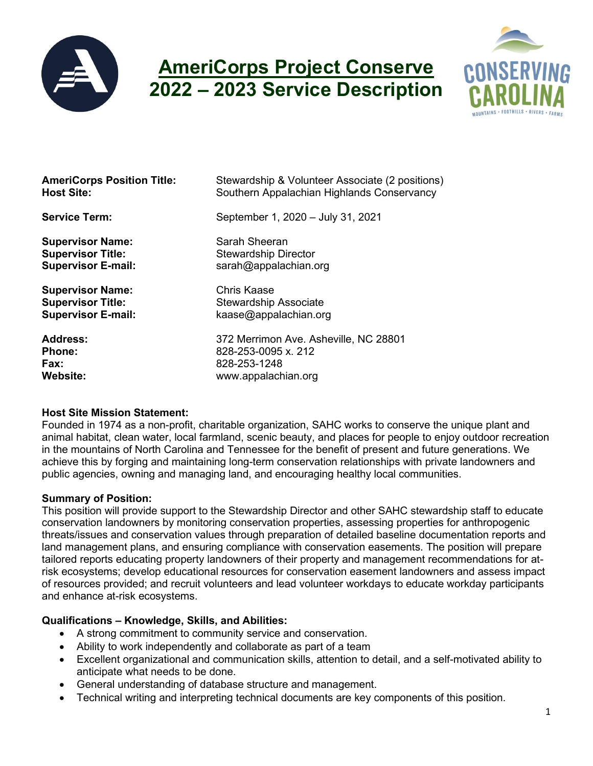

# **AmeriCorps Project Conserve 2022 – 2023 Service Description**



| <b>AmeriCorps Position Title:</b> | Stewardship & Volunteer Associate (2 positions) |
|-----------------------------------|-------------------------------------------------|
| <b>Host Site:</b>                 | Southern Appalachian Highlands Conservancy      |
| <b>Service Term:</b>              | September 1, 2020 - July 31, 2021               |
| <b>Supervisor Name:</b>           | Sarah Sheeran                                   |
| <b>Supervisor Title:</b>          | <b>Stewardship Director</b>                     |
| <b>Supervisor E-mail:</b>         | sarah@appalachian.org                           |
| <b>Supervisor Name:</b>           | Chris Kaase                                     |
| <b>Supervisor Title:</b>          | <b>Stewardship Associate</b>                    |
| <b>Supervisor E-mail:</b>         | kaase@appalachian.org                           |
| <b>Address:</b>                   | 372 Merrimon Ave. Asheville, NC 28801           |
| <b>Phone:</b>                     | 828-253-0095 x. 212                             |
| Fax:                              | 828-253-1248                                    |
| Website:                          | www.appalachian.org                             |

#### **Host Site Mission Statement:**

Founded in 1974 as a non-profit, charitable organization, SAHC works to conserve the unique plant and animal habitat, clean water, local farmland, scenic beauty, and places for people to enjoy outdoor recreation in the mountains of North Carolina and Tennessee for the benefit of present and future generations. We achieve this by forging and maintaining long-term conservation relationships with private landowners and public agencies, owning and managing land, and encouraging healthy local communities.

#### **Summary of Position:**

This position will provide support to the Stewardship Director and other SAHC stewardship staff to educate conservation landowners by monitoring conservation properties, assessing properties for anthropogenic threats/issues and conservation values through preparation of detailed baseline documentation reports and land management plans, and ensuring compliance with conservation easements. The position will prepare tailored reports educating property landowners of their property and management recommendations for atrisk ecosystems; develop educational resources for conservation easement landowners and assess impact of resources provided; and recruit volunteers and lead volunteer workdays to educate workday participants and enhance at-risk ecosystems.

# **Qualifications – Knowledge, Skills, and Abilities:**

- A strong commitment to community service and conservation.
- Ability to work independently and collaborate as part of a team
- Excellent organizational and communication skills, attention to detail, and a self-motivated ability to anticipate what needs to be done.
- General understanding of database structure and management.
- Technical writing and interpreting technical documents are key components of this position.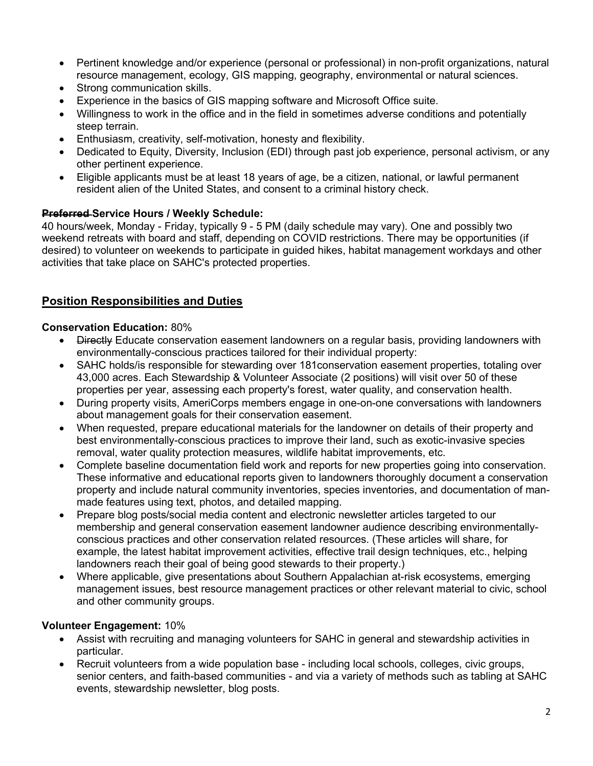- Pertinent knowledge and/or experience (personal or professional) in non-profit organizations, natural resource management, ecology, GIS mapping, geography, environmental or natural sciences.
- Strong communication skills.
- Experience in the basics of GIS mapping software and Microsoft Office suite.
- Willingness to work in the office and in the field in sometimes adverse conditions and potentially steep terrain.
- Enthusiasm, creativity, self-motivation, honesty and flexibility.
- Dedicated to Equity, Diversity, Inclusion (EDI) through past job experience, personal activism, or any other pertinent experience.
- Eligible applicants must be at least 18 years of age, be a citizen, national, or lawful permanent resident alien of the United States, and consent to a criminal history check.

## **Preferred Service Hours / Weekly Schedule:**

40 hours/week, Monday - Friday, typically 9 - 5 PM (daily schedule may vary). One and possibly two weekend retreats with board and staff, depending on COVID restrictions. There may be opportunities (if desired) to volunteer on weekends to participate in guided hikes, habitat management workdays and other activities that take place on SAHC's protected properties.

# **Position Responsibilities and Duties**

## **Conservation Education:** 80%

- Directly Educate conservation easement landowners on a regular basis, providing landowners with environmentally-conscious practices tailored for their individual property:
- SAHC holds/is responsible for stewarding over 181conservation easement properties, totaling over 43,000 acres. Each Stewardship & Volunteer Associate (2 positions) will visit over 50 of these properties per year, assessing each property's forest, water quality, and conservation health.
- During property visits, AmeriCorps members engage in one-on-one conversations with landowners about management goals for their conservation easement.
- When requested, prepare educational materials for the landowner on details of their property and best environmentally-conscious practices to improve their land, such as exotic-invasive species removal, water quality protection measures, wildlife habitat improvements, etc.
- Complete baseline documentation field work and reports for new properties going into conservation. These informative and educational reports given to landowners thoroughly document a conservation property and include natural community inventories, species inventories, and documentation of manmade features using text, photos, and detailed mapping.
- Prepare blog posts/social media content and electronic newsletter articles targeted to our membership and general conservation easement landowner audience describing environmentallyconscious practices and other conservation related resources. (These articles will share, for example, the latest habitat improvement activities, effective trail design techniques, etc., helping landowners reach their goal of being good stewards to their property.)
- Where applicable, give presentations about Southern Appalachian at-risk ecosystems, emerging management issues, best resource management practices or other relevant material to civic, school and other community groups.

# **Volunteer Engagement:** 10%

- Assist with recruiting and managing volunteers for SAHC in general and stewardship activities in particular.
- Recruit volunteers from a wide population base including local schools, colleges, civic groups, senior centers, and faith-based communities - and via a variety of methods such as tabling at SAHC events, stewardship newsletter, blog posts.